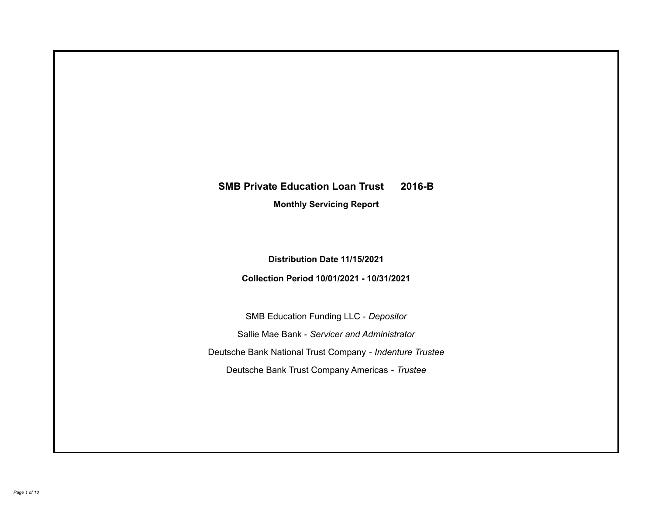# **SMB Private Education Loan Trust 2016-B**

**Monthly Servicing Report**

**Distribution Date 11/15/2021**

**Collection Period 10/01/2021 - 10/31/2021**

SMB Education Funding LLC - *Depositor* Sallie Mae Bank - *Servicer and Administrator* Deutsche Bank National Trust Company - *Indenture Trustee* Deutsche Bank Trust Company Americas - *Trustee*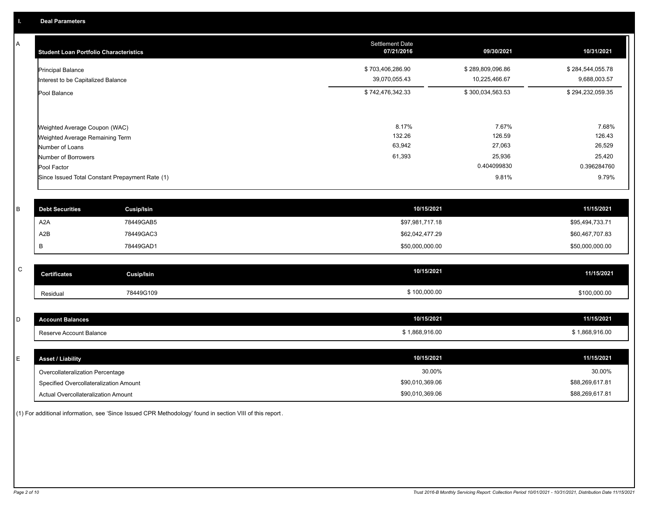A

| <b>Student Loan Portfolio Characteristics</b>                  | <b>Settlement Date</b><br>07/21/2016 | 09/30/2021                        | 10/31/2021                       |
|----------------------------------------------------------------|--------------------------------------|-----------------------------------|----------------------------------|
| <b>Principal Balance</b><br>Interest to be Capitalized Balance | \$703,406,286.90<br>39,070,055.43    | \$289,809,096.86<br>10,225,466.67 | \$284,544,055.78<br>9,688,003.57 |
| Pool Balance                                                   | \$742,476,342.33                     | \$300,034,563.53                  | \$294,232,059.35                 |
| Weighted Average Coupon (WAC)                                  | 8.17%<br>132.26                      | 7.67%<br>126.59                   | 7.68%<br>126.43                  |
| Weighted Average Remaining Term                                | 63,942                               | 27,063                            | 26,529                           |
| Number of Loans<br>Number of Borrowers<br>Pool Factor          | 61,393                               | 25,936<br>0.404099830             | 25,420<br>0.396284760            |
| Since Issued Total Constant Prepayment Rate (1)                |                                      | 9.81%                             | 9.79%                            |

| <b>Debt Securities</b> | <b>Cusip/Isin</b> | 10/15/2021      | 11/15/2021      |
|------------------------|-------------------|-----------------|-----------------|
| A2A                    | 78449GAB5         | \$97,981,717.18 | \$95,494,733.71 |
| A2B                    | 78449GAC3         | \$62,042,477.29 | \$60,467,707.83 |
|                        | 78449GAD1         | \$50,000,000.00 | \$50,000,000.00 |
|                        |                   |                 |                 |

| C | <b>Certificates</b> | Cusip/Isin | 10/15/2021   | 11/15/2021   |
|---|---------------------|------------|--------------|--------------|
|   | Residual            | 78449G109  | \$100,000.00 | \$100,000.00 |

| $\sim$<br>◡ | Junt Balances<br>ACCOI  | 10/15/2021 | 11/15/2021   |
|-------------|-------------------------|------------|--------------|
|             | Reserve Account Balance | 868,916.00 | 1,868,916.00 |

| <b>Asset / Liability</b>               | 10/15/2021      | 11/15/2021      |
|----------------------------------------|-----------------|-----------------|
| Overcollateralization Percentage       | 30.00%          | 30.00%          |
| Specified Overcollateralization Amount | \$90,010,369.06 | \$88,269,617.81 |
| Actual Overcollateralization Amount    | \$90,010,369.06 | \$88,269,617.81 |

(1) For additional information, see 'Since Issued CPR Methodology' found in section VIII of this report .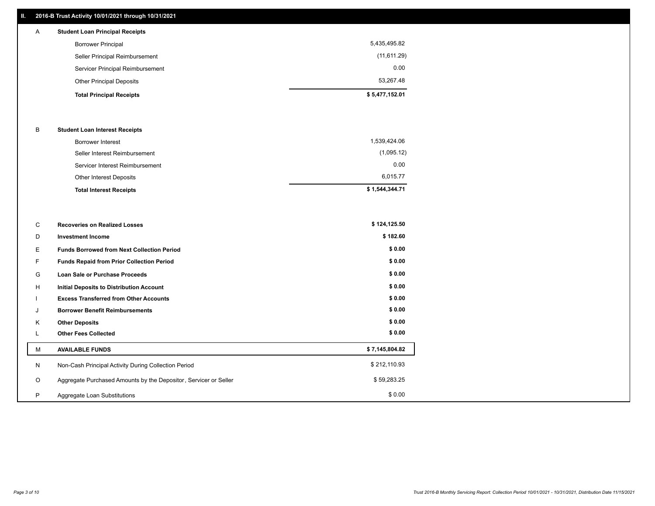## **II. 2016-B Trust Activity 10/01/2021 through 10/31/2021**

## Other Principal Deposits 53,267.48 Servicer Principal Reimbursement 0.00 Seller Principal Reimbursement (11,611.29) Borrower Principal 5,435,495.82 A **Student Loan Principal Receipts**

| <b>Total Principal Receipts</b> | \$5,477,152.01 |
|---------------------------------|----------------|
|---------------------------------|----------------|

### B **Student Loan Interest Receipts**

| <b>Total Interest Receipts</b>  | \$1,544,344.71 |
|---------------------------------|----------------|
| Other Interest Deposits         | 6.015.77       |
| Servicer Interest Reimbursement | 0.00           |
| Seller Interest Reimbursement   | (1,095.12)     |
| Borrower Interest               | 1,539,424.06   |

| C       | <b>Recoveries on Realized Losses</b>                             | \$124,125.50   |
|---------|------------------------------------------------------------------|----------------|
| D       | <b>Investment Income</b>                                         | \$182.60       |
| Е.      | <b>Funds Borrowed from Next Collection Period</b>                | \$0.00         |
| F.      | <b>Funds Repaid from Prior Collection Period</b>                 | \$0.00         |
| G       | Loan Sale or Purchase Proceeds                                   | \$0.00         |
| H       | <b>Initial Deposits to Distribution Account</b>                  | \$0.00         |
|         | <b>Excess Transferred from Other Accounts</b>                    | \$0.00         |
|         | <b>Borrower Benefit Reimbursements</b>                           | \$0.00         |
| Κ       | <b>Other Deposits</b>                                            | \$0.00         |
| ┗       | <b>Other Fees Collected</b>                                      | \$0.00         |
| М       | <b>AVAILABLE FUNDS</b>                                           | \$7,145,804.82 |
| N       | Non-Cash Principal Activity During Collection Period             | \$212,110.93   |
| $\circ$ | Aggregate Purchased Amounts by the Depositor, Servicer or Seller | \$59,283.25    |
| P       | Aggregate Loan Substitutions                                     | \$0.00         |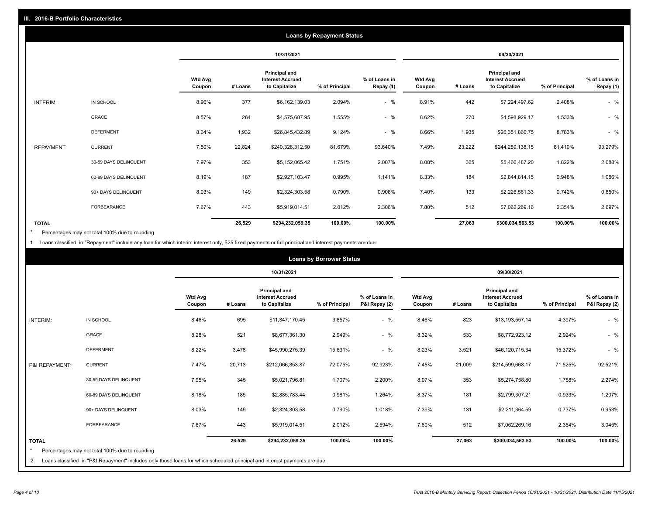|                   |                       |                          |         |                                                           | <b>Loans by Repayment Status</b> |                            |                          |         |                                                           |                |                            |
|-------------------|-----------------------|--------------------------|---------|-----------------------------------------------------------|----------------------------------|----------------------------|--------------------------|---------|-----------------------------------------------------------|----------------|----------------------------|
|                   |                       |                          |         | 10/31/2021                                                |                                  |                            |                          |         | 09/30/2021                                                |                |                            |
|                   |                       | <b>Wtd Avg</b><br>Coupon | # Loans | Principal and<br><b>Interest Accrued</b><br>to Capitalize | % of Principal                   | % of Loans in<br>Repay (1) | <b>Wtd Avg</b><br>Coupon | # Loans | Principal and<br><b>Interest Accrued</b><br>to Capitalize | % of Principal | % of Loans in<br>Repay (1) |
| INTERIM:          | IN SCHOOL             | 8.96%                    | 377     | \$6,162,139.03                                            | 2.094%                           | $-$ %                      | 8.91%                    | 442     | \$7,224,497.62                                            | 2.408%         | $-$ %                      |
|                   | GRACE                 | 8.57%                    | 264     | \$4,575,687.95                                            | 1.555%                           | $-$ %                      | 8.62%                    | 270     | \$4,598,929.17                                            | 1.533%         | $-$ %                      |
|                   | <b>DEFERMENT</b>      | 8.64%                    | 1,932   | \$26,845,432.89                                           | 9.124%                           | $-$ %                      | 8.66%                    | 1,935   | \$26,351,866.75                                           | 8.783%         | $-$ %                      |
| <b>REPAYMENT:</b> | <b>CURRENT</b>        | 7.50%                    | 22,824  | \$240,326,312.50                                          | 81.679%                          | 93.640%                    | 7.49%                    | 23,222  | \$244,259,138.15                                          | 81.410%        | 93.279%                    |
|                   | 30-59 DAYS DELINQUENT | 7.97%                    | 353     | \$5,152,065.42                                            | 1.751%                           | 2.007%                     | 8.08%                    | 365     | \$5,466,487.20                                            | 1.822%         | 2.088%                     |
|                   | 60-89 DAYS DELINQUENT | 8.19%                    | 187     | \$2,927,103.47                                            | 0.995%                           | 1.141%                     | 8.33%                    | 184     | \$2,844,814.15                                            | 0.948%         | 1.086%                     |
|                   | 90+ DAYS DELINQUENT   | 8.03%                    | 149     | \$2,324,303.58                                            | 0.790%                           | 0.906%                     | 7.40%                    | 133     | \$2,226,561.33                                            | 0.742%         | 0.850%                     |
|                   | <b>FORBEARANCE</b>    | 7.67%                    | 443     | \$5,919,014.51                                            | 2.012%                           | 2.306%                     | 7.80%                    | 512     | \$7,062,269.16                                            | 2.354%         | 2.697%                     |
| <b>TOTAL</b>      |                       |                          | 26,529  | \$294,232,059.35                                          | 100.00%                          | 100.00%                    |                          | 27,063  | \$300,034,563.53                                          | 100.00%        | 100.00%                    |

Percentages may not total 100% due to rounding \*

1 Loans classified in "Repayment" include any loan for which interim interest only, \$25 fixed payments or full principal and interest payments are due.

|                              |                                                                                                                                                                              |                          |         |                                                           | <b>Loans by Borrower Status</b> |                                |                          |         |                                                           |                |                                |
|------------------------------|------------------------------------------------------------------------------------------------------------------------------------------------------------------------------|--------------------------|---------|-----------------------------------------------------------|---------------------------------|--------------------------------|--------------------------|---------|-----------------------------------------------------------|----------------|--------------------------------|
|                              |                                                                                                                                                                              |                          |         | 10/31/2021                                                |                                 |                                |                          |         | 09/30/2021                                                |                |                                |
|                              |                                                                                                                                                                              | <b>Wtd Avg</b><br>Coupon | # Loans | Principal and<br><b>Interest Accrued</b><br>to Capitalize | % of Principal                  | % of Loans in<br>P&I Repay (2) | <b>Wtd Avg</b><br>Coupon | # Loans | Principal and<br><b>Interest Accrued</b><br>to Capitalize | % of Principal | % of Loans in<br>P&I Repay (2) |
| <b>INTERIM:</b>              | IN SCHOOL                                                                                                                                                                    | 8.46%                    | 695     | \$11,347,170.45                                           | 3.857%                          | $-$ %                          | 8.46%                    | 823     | \$13,193,557.14                                           | 4.397%         | $-$ %                          |
|                              | <b>GRACE</b>                                                                                                                                                                 | 8.28%                    | 521     | \$8,677,361.30                                            | 2.949%                          | $-$ %                          | 8.32%                    | 533     | \$8,772,923.12                                            | 2.924%         | $-$ %                          |
|                              | <b>DEFERMENT</b>                                                                                                                                                             | 8.22%                    | 3,478   | \$45,990,275.39                                           | 15.631%                         | $-$ %                          | 8.23%                    | 3,521   | \$46,120,715.34                                           | 15.372%        | $-$ %                          |
| P&I REPAYMENT:               | <b>CURRENT</b>                                                                                                                                                               | 7.47%                    | 20,713  | \$212,066,353.87                                          | 72.075%                         | 92.923%                        | 7.45%                    | 21,009  | \$214,599,668.17                                          | 71.525%        | 92.521%                        |
|                              | 30-59 DAYS DELINQUENT                                                                                                                                                        | 7.95%                    | 345     | \$5,021,796.81                                            | 1.707%                          | 2.200%                         | 8.07%                    | 353     | \$5,274,758.80                                            | 1.758%         | 2.274%                         |
|                              | 60-89 DAYS DELINQUENT                                                                                                                                                        | 8.18%                    | 185     | \$2,885,783.44                                            | 0.981%                          | 1.264%                         | 8.37%                    | 181     | \$2,799,307.21                                            | 0.933%         | 1.207%                         |
|                              | 90+ DAYS DELINQUENT                                                                                                                                                          | 8.03%                    | 149     | \$2,324,303.58                                            | 0.790%                          | 1.018%                         | 7.39%                    | 131     | \$2,211,364.59                                            | 0.737%         | 0.953%                         |
|                              | <b>FORBEARANCE</b>                                                                                                                                                           | 7.67%                    | 443     | \$5,919,014.51                                            | 2.012%                          | 2.594%                         | 7.80%                    | 512     | \$7,062,269.16                                            | 2.354%         | 3.045%                         |
| <b>TOTAL</b><br>$\star$<br>2 | Percentages may not total 100% due to rounding<br>Loans classified in "P&I Repayment" includes only those loans for which scheduled principal and interest payments are due. |                          | 26,529  | \$294,232,059.35                                          | 100.00%                         | 100.00%                        |                          | 27,063  | \$300,034,563.53                                          | 100.00%        | 100.00%                        |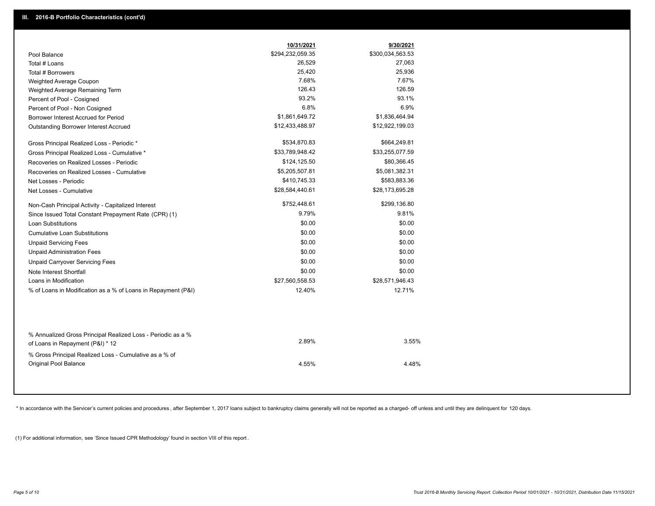|                                                                                        | 10/31/2021       | 9/30/2021        |  |
|----------------------------------------------------------------------------------------|------------------|------------------|--|
| Pool Balance                                                                           | \$294,232,059.35 | \$300,034,563.53 |  |
| Total # Loans                                                                          | 26,529           | 27,063           |  |
| Total # Borrowers                                                                      | 25,420           | 25,936           |  |
| Weighted Average Coupon                                                                | 7.68%            | 7.67%            |  |
| Weighted Average Remaining Term                                                        | 126.43           | 126.59           |  |
| Percent of Pool - Cosigned                                                             | 93.2%            | 93.1%            |  |
| Percent of Pool - Non Cosigned                                                         | 6.8%             | 6.9%             |  |
| Borrower Interest Accrued for Period                                                   | \$1,861,649.72   | \$1,836,464.94   |  |
| Outstanding Borrower Interest Accrued                                                  | \$12,433,488.97  | \$12,922,199.03  |  |
| Gross Principal Realized Loss - Periodic *                                             | \$534,870.83     | \$664,249.81     |  |
| Gross Principal Realized Loss - Cumulative *                                           | \$33,789,948.42  | \$33,255,077.59  |  |
| Recoveries on Realized Losses - Periodic                                               | \$124,125.50     | \$80,366.45      |  |
| Recoveries on Realized Losses - Cumulative                                             | \$5,205,507.81   | \$5,081,382.31   |  |
| Net Losses - Periodic                                                                  | \$410,745.33     | \$583,883.36     |  |
| Net Losses - Cumulative                                                                | \$28,584,440.61  | \$28,173,695.28  |  |
| Non-Cash Principal Activity - Capitalized Interest                                     | \$752,448.61     | \$299,136.80     |  |
| Since Issued Total Constant Prepayment Rate (CPR) (1)                                  | 9.79%            | 9.81%            |  |
| <b>Loan Substitutions</b>                                                              | \$0.00           | \$0.00           |  |
| <b>Cumulative Loan Substitutions</b>                                                   | \$0.00           | \$0.00           |  |
| <b>Unpaid Servicing Fees</b>                                                           | \$0.00           | \$0.00           |  |
| <b>Unpaid Administration Fees</b>                                                      | \$0.00           | \$0.00           |  |
| <b>Unpaid Carryover Servicing Fees</b>                                                 | \$0.00           | \$0.00           |  |
| Note Interest Shortfall                                                                | \$0.00           | \$0.00           |  |
| Loans in Modification                                                                  | \$27,560,558.53  | \$28,571,946.43  |  |
| % of Loans in Modification as a % of Loans in Repayment (P&I)                          | 12.40%           | 12.71%           |  |
| % Annualized Gross Principal Realized Loss - Periodic as a %                           |                  |                  |  |
| of Loans in Repayment (P&I) * 12                                                       | 2.89%            | 3.55%            |  |
| % Gross Principal Realized Loss - Cumulative as a % of<br><b>Original Pool Balance</b> | 4.55%            | 4.48%            |  |

\* In accordance with the Servicer's current policies and procedures, after September 1, 2017 loans subject to bankruptcy claims generally will not be reported as a charged- off unless and until they are delinquent for 120

(1) For additional information, see 'Since Issued CPR Methodology' found in section VIII of this report .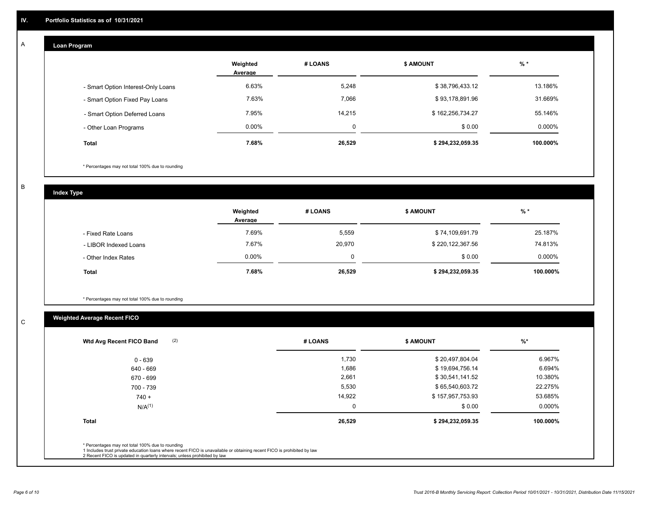#### **Loan Program**  A

|                                    | Weighted<br>Average | # LOANS | <b>\$ AMOUNT</b> | $%$ *    |
|------------------------------------|---------------------|---------|------------------|----------|
| - Smart Option Interest-Only Loans | 6.63%               | 5,248   | \$38,796,433.12  | 13.186%  |
| - Smart Option Fixed Pay Loans     | 7.63%               | 7,066   | \$93,178,891.96  | 31.669%  |
| - Smart Option Deferred Loans      | 7.95%               | 14,215  | \$162,256,734.27 | 55.146%  |
| - Other Loan Programs              | $0.00\%$            | 0       | \$0.00           | 0.000%   |
| <b>Total</b>                       | 7.68%               | 26,529  | \$294,232,059.35 | 100.000% |

\* Percentages may not total 100% due to rounding

B

C

**Index Type**

|                       | Weighted<br>Average | # LOANS | <b>\$ AMOUNT</b> | $%$ *     |
|-----------------------|---------------------|---------|------------------|-----------|
| - Fixed Rate Loans    | 7.69%               | 5,559   | \$74,109,691.79  | 25.187%   |
| - LIBOR Indexed Loans | 7.67%               | 20,970  | \$220,122,367.56 | 74.813%   |
| - Other Index Rates   | $0.00\%$            | 0       | \$0.00           | $0.000\%$ |
| Total                 | 7.68%               | 26,529  | \$294,232,059.35 | 100.000%  |

\* Percentages may not total 100% due to rounding

## **Weighted Average Recent FICO**

| (2)<br>Wtd Avg Recent FICO Band                                                                                                                                                                                                                          | # LOANS | <b>S AMOUNT</b>  | %         |
|----------------------------------------------------------------------------------------------------------------------------------------------------------------------------------------------------------------------------------------------------------|---------|------------------|-----------|
| 0 - 639                                                                                                                                                                                                                                                  | 1,730   | \$20,497,804.04  | 6.967%    |
| 640 - 669                                                                                                                                                                                                                                                | 1,686   | \$19,694,756.14  | 6.694%    |
| 670 - 699                                                                                                                                                                                                                                                | 2,661   | \$30,541,141.52  | 10.380%   |
| 700 - 739                                                                                                                                                                                                                                                | 5,530   | \$65,540,603.72  | 22.275%   |
| $740 +$                                                                                                                                                                                                                                                  | 14,922  | \$157,957,753.93 | 53.685%   |
| $N/A^{(1)}$                                                                                                                                                                                                                                              | 0       | \$0.00           | $0.000\%$ |
| <b>Total</b>                                                                                                                                                                                                                                             | 26,529  | \$294,232,059.35 | 100.000%  |
| * Percentages may not total 100% due to rounding<br>1 Includes trust private education loans where recent FICO is unavailable or obtaining recent FICO is prohibited by law<br>2 Recent FICO is updated in quarterly intervals; unless prohibited by law |         |                  |           |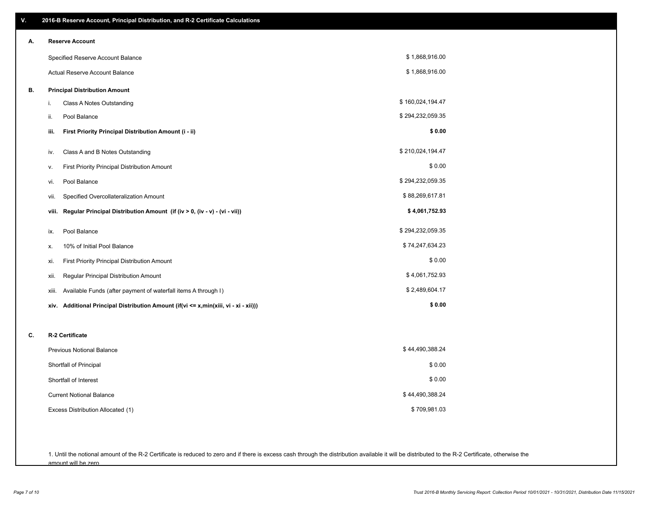| V. | 2016-B Reserve Account, Principal Distribution, and R-2 Certificate Calculations     |                  |
|----|--------------------------------------------------------------------------------------|------------------|
| А. | <b>Reserve Account</b>                                                               |                  |
|    | Specified Reserve Account Balance                                                    | \$1,868,916.00   |
|    | Actual Reserve Account Balance                                                       | \$1,868,916.00   |
| В. | <b>Principal Distribution Amount</b>                                                 |                  |
|    | Class A Notes Outstanding<br>i.                                                      | \$160,024,194.47 |
|    | ii.<br>Pool Balance                                                                  | \$294,232,059.35 |
|    | First Priority Principal Distribution Amount (i - ii)<br>iii.                        | \$0.00           |
|    | Class A and B Notes Outstanding<br>iv.                                               | \$210,024,194.47 |
|    | First Priority Principal Distribution Amount<br>v.                                   | \$0.00           |
|    | Pool Balance<br>vi.                                                                  | \$294,232,059.35 |
|    | Specified Overcollateralization Amount<br>vii.                                       | \$88,269,617.81  |
|    | Regular Principal Distribution Amount (if (iv > 0, (iv - v) - (vi - vii))<br>viii.   | \$4,061,752.93   |
|    | Pool Balance<br>ix.                                                                  | \$294,232,059.35 |
|    | 10% of Initial Pool Balance<br>х.                                                    | \$74,247,634.23  |
|    | First Priority Principal Distribution Amount<br>xi.                                  | \$0.00           |
|    | Regular Principal Distribution Amount<br>xii.                                        | \$4,061,752.93   |
|    | Available Funds (after payment of waterfall items A through I)<br>xiii.              | \$2,489,604.17   |
|    | xiv. Additional Principal Distribution Amount (if(vi <= x,min(xiii, vi - xi - xii))) | \$0.00           |
|    |                                                                                      |                  |
| C. | R-2 Certificate                                                                      |                  |
|    | <b>Previous Notional Balance</b>                                                     | \$44,490,388.24  |
|    | Shortfall of Principal                                                               | \$0.00           |
|    | Shortfall of Interest                                                                | \$0.00           |
|    | <b>Current Notional Balance</b>                                                      | \$44,490,388.24  |
|    | Excess Distribution Allocated (1)                                                    | \$709,981.03     |
|    |                                                                                      |                  |
|    |                                                                                      |                  |

1. Until the notional amount of the R-2 Certificate is reduced to zero and if there is excess cash through the distribution available it will be distributed to the R-2 Certificate, otherwise the amount will be zero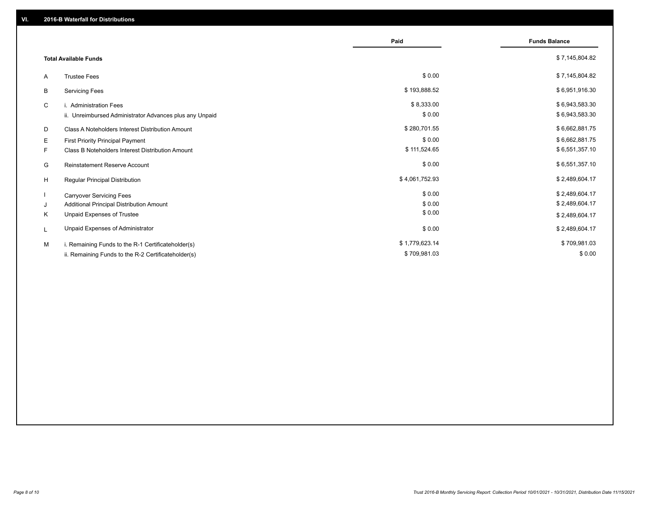|    |                                                         | Paid           | <b>Funds Balance</b> |
|----|---------------------------------------------------------|----------------|----------------------|
|    | <b>Total Available Funds</b>                            |                | \$7,145,804.82       |
| A  | <b>Trustee Fees</b>                                     | \$0.00         | \$7,145,804.82       |
| В  | <b>Servicing Fees</b>                                   | \$193,888.52   | \$6,951,916.30       |
| C  | i. Administration Fees                                  | \$8,333.00     | \$6,943,583.30       |
|    | ii. Unreimbursed Administrator Advances plus any Unpaid | \$0.00         | \$6,943,583.30       |
| D  | Class A Noteholders Interest Distribution Amount        | \$280,701.55   | \$6,662,881.75       |
| Е  | First Priority Principal Payment                        | \$0.00         | \$6,662,881.75       |
| F. | Class B Noteholders Interest Distribution Amount        | \$111,524.65   | \$6,551,357.10       |
| G  | <b>Reinstatement Reserve Account</b>                    | \$0.00         | \$6,551,357.10       |
| H  | Regular Principal Distribution                          | \$4,061,752.93 | \$2,489,604.17       |
|    | <b>Carryover Servicing Fees</b>                         | \$0.00         | \$2,489,604.17       |
| J  | Additional Principal Distribution Amount                | \$0.00         | \$2,489,604.17       |
| Κ  | Unpaid Expenses of Trustee                              | \$0.00         | \$2,489,604.17       |
| L  | Unpaid Expenses of Administrator                        | \$0.00         | \$2,489,604.17       |
| M  | i. Remaining Funds to the R-1 Certificateholder(s)      | \$1,779,623.14 | \$709,981.03         |
|    | ii. Remaining Funds to the R-2 Certificateholder(s)     | \$709,981.03   | \$0.00               |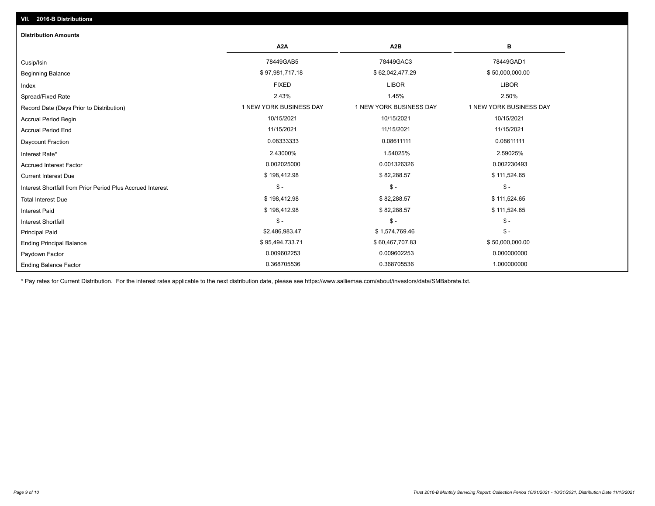## Ending Balance Factor Paydown Factor 0.009602253 0.009602253 0.000000000 Ending Principal Balance \$50,000,000.00 \$895,494,733.71 \$60,467,707.83 \$60,467,707.83 \$50,000,000.00 Principal Paid \$2,486,983.47 \$ 1,574,769.46 \$ - \$ - \$ - \$ - Interest Shortfall \$ 198,412.98 \$ 82,288.57 \$ 111,524.65 Interest Paid Total Interest Due \$ 198,412.98 \$ 82,288.57 \$ 111,524.65 \$ - \$ - \$ - Interest Shortfall from Prior Period Plus Accrued Interest Current Interest Due \$ 198,412.98 \$ 82,288.57 \$ 111,524.65 Accrued Interest Factor 0.002025000 0.001326326 0.002230493 Interest Rate\* 2.43000% 1.54025% 2.59025% Daycount Fraction 0.08333333 0.08611111 0.08611111 Accrual Period End 11/15/2021 11/15/2021 11/15/2021 Accrual Period Begin 10/15/2021 10/15/2021 10/15/2021 Record Date (Days Prior to Distribution) **1 NEW YORK BUSINESS DAY** 1 NEW YORK BUSINESS DAY 1 NEW YORK BUSINESS DAY Spread/Fixed Rate 2.43% 1.45% 2.50% Index FIXED LIBOR LIBOR Beginning Balance \$ 97,981,717.18 \$ 62,042,477.29 \$ 50,000,000.00 \$ Cusip/Isin 78449GAB5 78449GAC3 78449GAD1 **A2A A2B B** 0.368705536 0.368705536 1.000000000 **Distribution Amounts VII. 2016-B Distributions**

\* Pay rates for Current Distribution. For the interest rates applicable to the next distribution date, please see https://www.salliemae.com/about/investors/data/SMBabrate.txt.